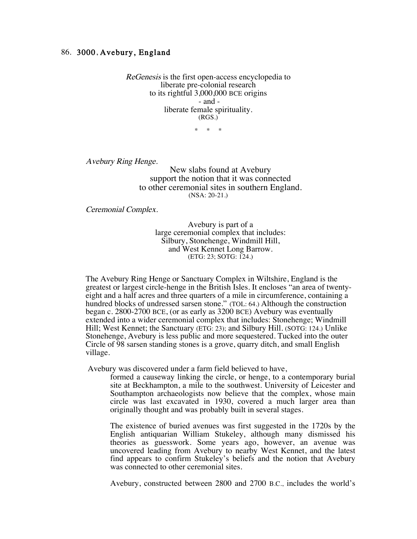## 86. 3000, Avebury, England

ReGenesis is the first open-access encyclopedia to liberate pre-colonial research to its rightful 3,000,000 BCE origins - and liberate female spirituality. (RGS.)

 $*$  \*

Avebury Ring Henge.

New slabs found at Avebury support the notion that it was connected to other ceremonial sites in southern England. (NSA: 20-21.)

Ceremonial Complex.

Avebury is part of a large ceremonial complex that includes: Silbury, Stonehenge, Windmill Hill, and West Kennet Long Barrow. (ETG: 23; SOTG: 124.)

The Avebury Ring Henge or Sanctuary Complex in Wiltshire, England is the greatest or largest circle-henge in the British Isles. It encloses "an area of twentyeight and a half acres and three quarters of a mile in circumference, containing a hundred blocks of undressed sarsen stone." (TOL: 64.) Although the construction began c. 2800-2700 BCE, (or as early as 3200 BCE) Avebury was eventually extended into a wider ceremonial complex that includes: Stonehenge; Windmill Hill; West Kennet; the Sanctuary (ETG: 23); and Silbury Hill. (SOTG: 124.) Unlike Stonehenge, Avebury is less public and more sequestered. Tucked into the outer Circle of 98 sarsen standing stones is a grove, quarry ditch, and small English village.

Avebury was discovered under a farm field believed to have,

formed a causeway linking the circle, or henge, to a contemporary burial site at Beckhampton, a mile to the southwest. University of Leicester and Southampton archaeologists now believe that the complex, whose main circle was last excavated in 1930, covered a much larger area than originally thought and was probably built in several stages.

The existence of buried avenues was first suggested in the 1720s by the English antiquarian William Stukeley, although many dismissed his theories as guesswork. Some years ago, however, an avenue was uncovered leading from Avebury to nearby West Kennet, and the latest find appears to confirm Stukeley's beliefs and the notion that Avebury was connected to other ceremonial sites.

Avebury, constructed between 2800 and 2700 B.C., includes the world's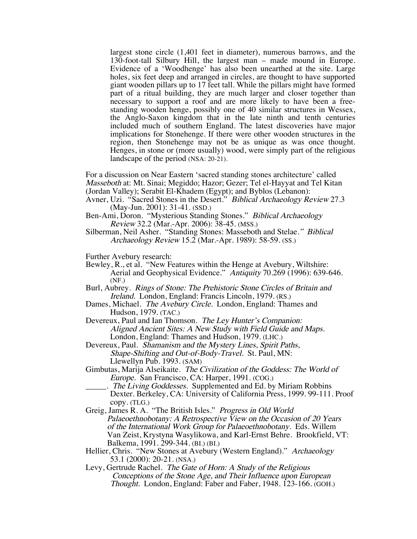largest stone circle (1,401 feet in diameter), numerous barrows, and the 130-foot-tall Silbury Hill, the largest man – made mound in Europe. Evidence of a 'Woodhenge' has also been unearthed at the site. Large holes, six feet deep and arranged in circles, are thought to have supported giant wooden pillars up to 17 feet tall. While the pillars might have formed part of a ritual building, they are much larger and closer together than necessary to support a roof and are more likely to have been a freestanding wooden henge, possibly one of 40 similar structures in Wessex, the Anglo-Saxon kingdom that in the late ninth and tenth centuries included much of southern England. The latest discoveries have major implications for Stonehenge. If there were other wooden structures in the region, then Stonehenge may not be as unique as was once thought. Henges, in stone or (more usually) wood, were simply part of the religious landscape of the period (NSA: 20-21).

For a discussion on Near Eastern 'sacred standing stones architecture' called Masseboth at: Mt. Sinai; Megiddo; Hazor; Gezer; Tel el-Hayyat and Tel Kitan (Jordan Valley); Serabit El-Khadem (Egypt); and Byblos (Lebanon):

- Avner, Uzi. "Sacred Stones in the Desert." Biblical Archaeology Review 27.3 (May-Jun. 2001): 31-41. (SSD.)
- Ben-Ami, Doron. "Mysterious Standing Stones." Biblical Archaeology Review 32.2 (Mar.-Apr. 2006): 38-45. (MSS.)
- Silberman, Neil Asher. "Standing Stones: Masseboth and Stelae." Biblical Archaeology Review 15.2 (Mar.-Apr. 1989): 58-59. (SS.)

Further Avebury research:

Bewley, R., et al. "New Features within the Henge at Avebury, Wiltshire: Aerial and Geophysical Evidence." Antiquity 70.269 (1996): 639-646. (NF.)

Burl, Aubrey. Rings of Stone: The Prehistoric Stone Circles of Britain and Ireland. London, England: Francis Lincoln, 1979. (RS.)

- Dames, Michael. The Avebury Circle. London, England: Thames and Hudson, 1979. (TAC.)
- Devereux, Paul and Ian Thomson. The Ley Hunter's Companion: Aligned Ancient Sites: A New Study with Field Guide and Maps. London, England: Thames and Hudson, 1979. (LHC.)
- Devereux, Paul. Shamanism and the Mystery Lines, Spirit Paths, Shape-Shifting and Out-of-Body-Travel. St. Paul, MN: Llewellyn Pub. 1993. (SAM)
- Gimbutas, Marija Alseikaite. The Civilization of the Goddess: The World of Europe. San Francisco, CA: Harper, 1991. (COG.)
	- The Living Goddesses. Supplemented and Ed. by Miriam Robbins Dexter. Berkeley, CA: University of California Press, 1999. 99-111. Proof copy. (TLG.)
- Greig, James R. A. "The British Isles." Progress in Old World Palaeoethnobotany: A Retrospective View on the Occasion of 20 Years of the International Work Group for Palaeoethnobotany. Eds. Willem Van Zeist, Krystyna Wasylikowa, and Karl-Ernst Behre. Brookfield, VT: Balkema, 1991. 299-344. (BI.) (BI.)
- Hellier, Chris. "New Stones at Avebury (Western England)." Archaeology 53.1 (2000): 20-21. (NSA.)
- Levy, Gertrude Rachel. The Gate of Horn: A Study of the Religious Conceptions of the Stone Age, and Their Influence upon European Thought. London, England: Faber and Faber, 1948. 123-166. (GOH.)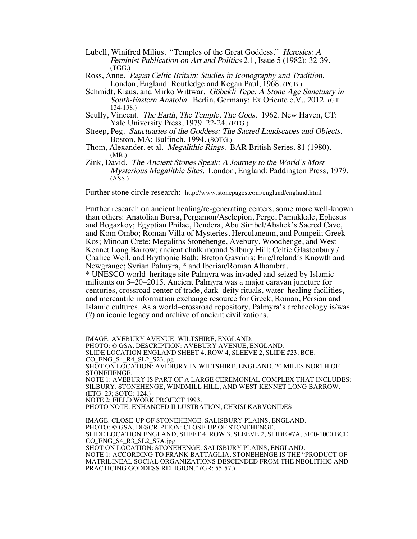- Lubell, Winifred Milius. "Temples of the Great Goddess." Heresies: A Feminist Publication on Art and Politics 2.1, Issue 5 (1982): 32-39. (TGG.)
- Ross, Anne. Pagan Celtic Britain: Studies in Iconography and Tradition. London, England: Routledge and Kegan Paul, 1968. (PCB.)
- Schmidt, Klaus, and Mirko Wittwar. Göbekli Tepe: A Stone Age Sanctuary in South-Eastern Anatolia. Berlin, Germany: Ex Oriente e.V., 2012. (GT: 134-138.)
- Scully, Vincent. The Earth, The Temple, The Gods. 1962. New Haven, CT: Yale University Press, 1979. 22-24. (ETG.)
- Streep, Peg. Sanctuaries of the Goddess: The Sacred Landscapes and Objects. Boston, MA: Bulfinch, 1994. (SOTG.)
- Thom, Alexander, et al. Megalithic Rings. BAR British Series. 81 (1980). (MR.)
- Zink, David. The Ancient Stones Speak: A Journey to the World's Most Mysterious Megalithic Sites. London, England: Paddington Press, 1979. (ASS.)

Further stone circle research: http://www.stonepages.com/england/england.html

Further research on ancient healing/re-generating centers, some more well-known than others: Anatolian Bursa, Pergamon/Asclepion, Perge, Pamukkale, Ephesus and Bogazkoy; Egyptian Philae, Dendera, Abu Simbel/Abshek's Sacred Cave, and Kom Ombo; Roman Villa of Mysteries, Herculaneum, and Pompeii; Greek Kos; Minoan Crete; Megaliths Stonehenge, Avebury, Woodhenge, and West Kennet Long Barrow; ancient chalk mound Silbury Hill; Celtic Glastonbury / Chalice Well, and Brythonic Bath; Breton Gavrinis; Eire/Ireland's Knowth and Newgrange; Syrian Palmyra, \* and Iberian/Roman Alhambra. \* UNESCO world–heritage site Palmyra was invaded and seized by Islamic militants on 5–20–2015. Ancient Palmyra was a major caravan juncture for centuries, crossroad center of trade, dark–deity rituals, water–healing facilities,

and mercantile information exchange resource for Greek, Roman, Persian and Islamic cultures. As a world–crossroad repository, Palmyra's archaeology is/was (?) an iconic legacy and archive of ancient civilizations.

IMAGE: AVEBURY AVENUE: WILTSHIRE, ENGLAND. PHOTO: © GSA. DESCRIPTION: AVEBURY AVENUE, ENGLAND. SLIDE LOCATION ENGLAND SHEET 4, ROW 4, SLEEVE 2, SLIDE #23, BCE. CO\_ENG\_S4\_R4\_SL2\_S23.jpg SHOT ON LOCATION: AVEBURY IN WILTSHIRE, ENGLAND, 20 MILES NORTH OF STONEHENGE. NOTE 1: AVEBURY IS PART OF A LARGE CEREMONIAL COMPLEX THAT INCLUDES: SILBURY, STONEHENGE, WINDMILL HILL, AND WEST KENNET LONG BARROW. (ETG: 23; SOTG: 124.) NOTE 2: FIELD WORK PROJECT 1993. PHOTO NOTE: ENHANCED ILLUSTRATION, CHRISI KARVONIDES. IMAGE: CLOSE-UP OF STONEHENGE: SALISBURY PLAINS, ENGLAND.

PHOTO: © GSA. DESCRIPTION: CLOSE-UP OF STONEHENGE. SLIDE LOCATION ENGLAND, SHEET 4, ROW 3, SLEEVE 2, SLIDE #7A, 3100-1000 BCE. CO\_ENG\_S4\_R3\_SL2\_S7A.jpg SHOT ON LOCATION: STONEHENGE: SALISBURY PLAINS, ENGLAND. NOTE 1: ACCORDING TO FRANK BATTAGLIA, STONEHENGE IS THE "PRODUCT OF MATRILINEAL SOCIAL ORGANIZATIONS DESCENDED FROM THE NEOLITHIC AND PRACTICING GODDESS RELIGION." (GR: 55-57.)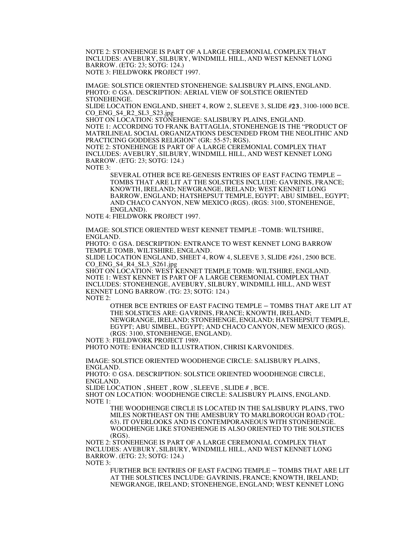NOTE 2: STONEHENGE IS PART OF A LARGE CEREMONIAL COMPLEX THAT INCLUDES: AVEBURY, SILBURY, WINDMILL HILL, AND WEST KENNET LONG BARROW. (ETG: 23; SOTG: 124.) NOTE 3: FIELDWORK PROJECT 1997.

IMAGE: SOLSTICE ORIENTED STONEHENGE: SALISBURY PLAINS, ENGLAND. PHOTO: © GSA. DESCRIPTION: AERIAL VIEW OF SOLSTICE ORIENTED STONEHENGE.

SLIDE LOCATION ENGLAND, SHEET 4, ROW 2, SLEEVE 3, SLIDE #23, 3100-1000 BCE. CO\_ENG\_S4\_R2\_SL3\_S23.jpg

SHOT ON LOCATION: STÖNEHENGE: SALISBURY PLAINS, ENGLAND.

NOTE 1: ACCORDING TO FRANK BATTAGLIA, STONEHENGE IS THE "PRODUCT OF MATRILINEAL SOCIAL ORGANIZATIONS DESCENDED FROM THE NEOLITHIC AND PRACTICING GODDESS RELIGION" (GR: 55-57; RGS).

NOTE 2: STONEHENGE IS PART OF A LARGE CEREMONIAL COMPLEX THAT INCLUDES: AVEBURY, SILBURY, WINDMILL HILL, AND WEST KENNET LONG BARROW. (ETG: 23; SOTG: 124.)

NOTE 3:

SEVERAL OTHER BCE RE-GENESIS ENTRIES OF EAST FACING TEMPLE – TOMBS THAT ARE LIT AT THE SOLSTICES INCLUDE: GAVRINIS, FRANCE; KNOWTH, IRELAND; NEWGRANGE, IRELAND; WEST KENNET LONG BARROW, ENGLAND; HATSHEPSUT TEMPLE, EGYPT; ABU SIMBEL, EGYPT; AND CHACO CANYON, NEW MEXICO (RGS). (RGS: 3100, STONEHENGE, ENGLAND).

NOTE 4: FIELDWORK PROJECT 1997.

IMAGE: SOLSTICE ORIENTED WEST KENNET TEMPLE –TOMB: WILTSHIRE, ENGLAND.

PHOTO: © GSA. DESCRIPTION: ENTRANCE TO WEST KENNET LONG BARROW TEMPLE TOMB, WILTSHIRE, ENGLAND.

SLIDE LOCATION ENGLAND, SHEET 4, ROW 4, SLEEVE 3, SLIDE #261, 2500 BCE. CO\_ENG\_S4\_R4\_SL3\_S261.jpg

SHOT ON LOCATION: WEST KENNET TEMPLE TOMB: WILTSHIRE, ENGLAND. NOTE 1: WEST KENNET IS PART OF A LARGE CEREMONIAL COMPLEX THAT INCLUDES: STONEHENGE, AVEBURY, SILBURY, WINDMILL HILL, AND WEST KENNET LONG BARROW. (TG: 23; SOTG: 124.) NOTE 2:

OTHER BCE ENTRIES OF EAST FACING TEMPLE – TOMBS THAT ARE LIT AT THE SOLSTICES ARE: GAVRINIS, FRANCE; KNOWTH, IRELAND; NEWGRANGE, IRELAND; STONEHENGE, ENGLAND; HATSHEPSUT TEMPLE, EGYPT; ABU SIMBEL, EGYPT; AND CHACO CANYON, NEW MEXICO (RGS). (RGS: 3100, STONEHENGE, ENGLAND).

NOTE 3: FIELDWORK PROJECT 1989.

PHOTO NOTE: ENHANCED ILLUSTRATION, CHRISI KARVONIDES.

IMAGE: SOLSTICE ORIENTED WOODHENGE CIRCLE: SALISBURY PLAINS, ENGLAND.

PHOTO: © GSA. DESCRIPTION: SOLSTICE ORIENTED WOODHENGE CIRCLE, ENGLAND.

SLIDE LOCATION , SHEET , ROW , SLEEVE , SLIDE # , BCE.

SHOT ON LOCATION: WOODHENGE CIRCLE: SALISBURY PLAINS, ENGLAND. NOTE 1:

THE WOODHENGE CIRCLE IS LOCATED IN THE SALISBURY PLAINS, TWO MILES NORTHEAST ON THE AMESBURY TO MARLBOROUGH ROAD (TOL: 63). IT OVERLOOKS AND IS CONTEMPORANEOUS WITH STONEHENGE. WOODHENGE LIKE STONEHENGE IS ALSO ORIENTED TO THE SOLSTICES (RGS).

NOTE 2: STONEHENGE IS PART OF A LARGE CEREMONIAL COMPLEX THAT INCLUDES: AVEBURY, SILBURY, WINDMILL HILL, AND WEST KENNET LONG BARROW. (ETG: 23; SOTG: 124.) NOTE 3:

FURTHER BCE ENTRIES OF EAST FACING TEMPLE – TOMBS THAT ARE LIT AT THE SOLSTICES INCLUDE: GAVRINIS, FRANCE; KNOWTH, IRELAND; NEWGRANGE, IRELAND; STONEHENGE, ENGLAND; WEST KENNET LONG